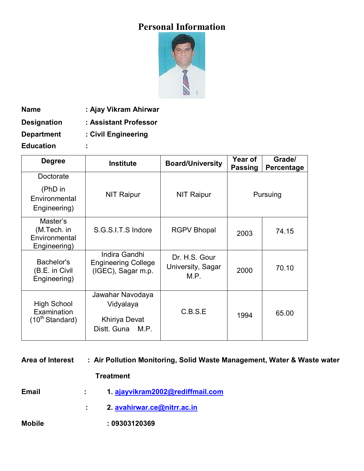# **Personal Information**



**Name : Ajay Vikram Ahirwar**

**Designation : Assistant Professor**

**Department : Civil Engineering**

**Education :**

| <b>Degree</b>                                             | <b>Institute</b>                                                      | <b>Board/University</b>                    | <b>Year of</b><br><b>Passing</b> | Grade/<br>Percentage |
|-----------------------------------------------------------|-----------------------------------------------------------------------|--------------------------------------------|----------------------------------|----------------------|
| Doctorate<br>(PhD in<br>Environmental<br>Engineering)     | <b>NIT Raipur</b>                                                     | NIT Raipur                                 |                                  | Pursuing             |
| Master's<br>(M.Tech. in<br>Environmental<br>Engineering)  | S.G.S.I.T.S Indore                                                    | <b>RGPV Bhopal</b>                         | 2003                             | 74.15                |
| Bachelor's<br>(B.E. in Civil<br>Engineering)              | Indira Gandhi<br><b>Engineering College</b><br>(IGEC), Sagar m.p.     | Dr. H.S. Gour<br>University, Sagar<br>M.P. | 2000                             | 70.10                |
| <b>High School</b><br>Examination<br>$(10^{th}$ Standard) | Jawahar Navodaya<br>Vidyalaya<br>Khiriya Devat<br>Distt. Guna<br>M.P. | C.B.S.E                                    | 1994                             | 65.00                |

| <b>Area of Interest</b> |                  | : Air Pollution Monitoring, Solid Waste Management, Water & Waste water |  |  |
|-------------------------|------------------|-------------------------------------------------------------------------|--|--|
|                         | <b>Treatment</b> |                                                                         |  |  |
| <b>Email</b>            |                  | 1. ajayvikram2002@rediffmail.com                                        |  |  |
|                         |                  | 2. avahirwar.ce@nitrr.ac.in                                             |  |  |
| <b>Mobile</b>           |                  | :09303120369                                                            |  |  |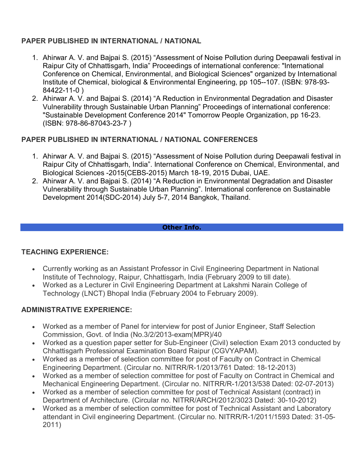## **PAPER PUBLISHED IN INTERNATIONAL / NATIONAL**

- 1. Ahirwar A. V. and Bajpai S. (2015) "Assessment of Noise Pollution during Deepawali festival in Raipur City of Chhattisgarh, India" Proceedings of international conference: "International Conference on Chemical, Environmental, and Biological Sciences" organized by International Institute of Chemical, biological & Environmental Engineering, pp 105--107. (ISBN: 978-93- 84422-11-0 )
- 2. Ahirwar A. V. and Bajpai S. (2014) "A Reduction in Environmental Degradation and Disaster Vulnerability through Sustainable Urban Planning" Proceedings of international conference: "Sustainable Development Conference 2014" Tomorrow People Organization, pp 16-23. (ISBN: 978-86-87043-23-7 )

## **PAPER PUBLISHED IN INTERNATIONAL / NATIONAL CONFERENCES**

- 1. Ahirwar A. V. and Bajpai S. (2015) "Assessment of Noise Pollution during Deepawali festival in Raipur City of Chhattisgarh, India". International Conference on Chemical, Environmental, and Biological Sciences -2015(CEBS-2015) March 18-19, 2015 Dubai, UAE.
- 2. Ahirwar A. V. and Bajpai S. (2014) "A Reduction in Environmental Degradation and Disaster Vulnerability through Sustainable Urban Planning". International conference on Sustainable Development 2014(SDC-2014) July 5-7, 2014 Bangkok, Thailand.

#### **Other Info.**

#### **TEACHING EXPERIENCE:**

- Currently working as an Assistant Professor in Civil Engineering Department in National Institute of Technology, Raipur, Chhattisgarh, India (February 2009 to till date).
- Worked as a Lecturer in Civil Engineering Department at Lakshmi Narain College of Technology (LNCT) Bhopal India (February 2004 to February 2009).

#### **ADMINISTRATIVE EXPERIENCE:**

- Worked as a member of Panel for interview for post of Junior Engineer, Staff Selection Commission, Govt. of India (No.3/2/2013-exam(MPR)/40
- Worked as a question paper setter for Sub-Engineer (Civil) selection Exam 2013 conducted by Chhattisgarh Professional Examination Board Raipur (CGVYAPAM).
- Worked as a member of selection committee for post of Faculty on Contract in Chemical Engineering Department. (Circular no. NITRR/R-1/2013/761 Dated: 18-12-2013)
- Worked as a member of selection committee for post of Faculty on Contract in Chemical and Mechanical Engineering Department. (Circular no. NITRR/R-1/2013/538 Dated: 02-07-2013)
- Worked as a member of selection committee for post of Technical Assistant (contract) in Department of Architecture. (Circular no. NITRR/ARCH/2012/3023 Dated: 30-10-2012)
- Worked as a member of selection committee for post of Technical Assistant and Laboratory attendant in Civil engineering Department. (Circular no. NITRR/R-1/2011/1593 Dated: 31-05- 2011)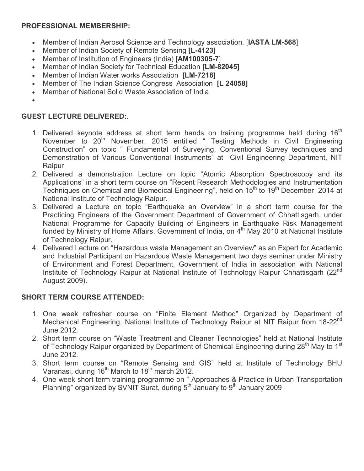## **PROFESSIONAL MEMBERSHIP:**

- Member of Indian Aerosol Science and Technology association. [**IASTA LM-568**]
- Member of Indian Society of Remote Sensing **[L-4123]**
- Member of Institution of Engineers (India) [**AM100305-7**]
- Member of Indian Society for Technical Education **[LM-82045]**
- Member of Indian Water works Association **[LM-7218]**
- Member of The Indian Science Congress Association **[L 24058]**
- Member of National Solid Waste Association of India
- $\bullet$

## **GUEST LECTURE DELIVERED:**.

- 1. Delivered keynote address at short term hands on training programme held during  $16<sup>th</sup>$ November to 20<sup>th</sup> November, 2015 entitled " Testing Methods in Civil Engineering Construction" on topic " Fundamental of Surveying, Conventional Survey techniques and Demonstration of Various Conventional Instruments" at Civil Engineering Department, NIT Raipur
- 2. Delivered a demonstration Lecture on topic "Atomic Absorption Spectroscopy and its Applications" in a short term course on "Recent Research Methodologies and Instrumentation Techniques on Chemical and Biomedical Engineering", held on 15<sup>th</sup> to 19<sup>th</sup> December 2014 at National Institute of Technology Raipur.
- 3. Delivered a Lecture on topic "Earthquake an Overview" in a short term course for the Practicing Engineers of the Government Department of Government of Chhattisgarh, under National Programme for Capacity Building of Engineers in Earthquake Risk Management funded by Ministry of Home Affairs, Government of India, on 4<sup>th</sup> May 2010 at National Institute of Technology Raipur.
- 4. Delivered Lecture on "Hazardous waste Management an Overview" as an Expert for Academic and Industrial Participant on Hazardous Waste Management two days seminar under Ministry of Environment and Forest Department, Government of India in association with National Institute of Technology Raipur at National Institute of Technology Raipur Chhattisgarh (22<sup>nd</sup>) August 2009).

## **SHORT TERM COURSE ATTENDED:**

- 1. One week refresher course on "Finite Element Method" Organized by Department of Mechanical Engineering, National Institute of Technology Raipur at NIT Raipur from 18-22<sup>nd</sup> June 2012.
- 2. Short term course on "Waste Treatment and Cleaner Technologies" held at National Institute of Technology Raipur organized by Department of Chemical Engineering during 28<sup>th</sup> May to 1<sup>st</sup> June 2012.
- 3. Short term course on "Remote Sensing and GIS" held at Institute of Technology BHU Varanasi, during 16<sup>th</sup> March to 18<sup>th</sup> march 2012.
- 4. One week short term training programme on " Approaches & Practice in Urban Transportation Planning" organized by SVNIT Surat, during 5<sup>th</sup> January to 9<sup>th</sup> January 2009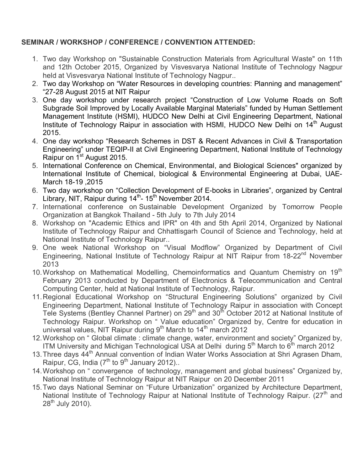## **SEMINAR / WORKSHOP / CONFERENCE / CONVENTION ATTENDED:**

- 1. Two day Workshop on "Sustainable Construction Materials from Agricultural Waste" on 11th and 12th October 2015, Organized by Visvesvarya National Institute of Technology Nagpur held at Visvesvarya National Institute of Technology Nagpur..
- 2. Two day Workshop on "Water Resources in developing countries: Planning and management" "27-28 August 2015 at NIT Raipur
- 3. One day workshop under research project "Construction of Low Volume Roads on Soft Subgrade Soil Improved by Locally Available Marginal Materials" funded by Human Settlement Management Institute (HSMI), HUDCO New Delhi at Civil Engineering Department, National Institute of Technology Raipur in association with HSMI, HUDCO New Delhi on 14<sup>th</sup> August 2015.
- 4. One day workshop "Research Schemes in DST & Recent Advances in Civil & Transportation Engineering" under TEQIP-II at Civil Engineering Department, National Institute of Technology Raipur on 1<sup>st</sup> August 2015.
- 5. International Conference on Chemical, Environmental, and Biological Sciences" organized by International Institute of Chemical, biological & Environmental Engineering at Dubai, UAE-March 18-19 ,2015
- 6. Two day workshop on "Collection Development of E-books in Libraries", organized by Central Library, NIT, Raipur during 14<sup>th</sup>- 15<sup>th</sup> November 2014.
- 7. International conference on Sustainable Development Organized by Tomorrow People Organization at Bangkok Thailand - 5th July to 7th July 2014
- 8. Workshop on "Academic Ethics and IPR" on 4th and 5th April 2014, Organized by National Institute of Technology Raipur and Chhattisgarh Council of Science and Technology, held at National Institute of Technology Raipur..
- 9. One week National Workshop on "Visual Modflow" Organized by Department of Civil Engineering, National Institute of Technology Raipur at NIT Raipur from 18-22<sup>nd</sup> November 2013
- 10. Workshop on Mathematical Modelling, Chemoinformatics and Quantum Chemistry on 19<sup>th</sup> February 2013 conducted by Department of Electronics & Telecommunication and Central Computing Center, held at National Institute of Technology, Raipur.
- 11.Regional Educational Workshop on "Structural Engineering Solutions" organized by Civil Engineering Department, National Institute of Technology Raipur in association with Concept Tele Systems (Bentley Channel Partner) on 29<sup>th</sup> and 30<sup>th</sup> October 2012 at National Institute of Technology Raipur. Workshop on " Value education" Organized by, Centre for education in universal values, NIT Raipur during  $9<sup>th</sup>$  March to 14<sup>th</sup> march 2012
- 12.Workshop on " Global climate : climate change, water, environment and society" Organized by, ITM University and Michigan Technological USA at Delhi during  $5<sup>th</sup>$  March to  $6<sup>th</sup>$  march 2012
- 13. Three days 44<sup>th</sup> Annual convention of Indian Water Works Association at Shri Agrasen Dham, Raipur, CG, India  $(7<sup>th</sup>$  to 9<sup>th</sup> January 2012)..
- 14.Workshop on " convergence of technology, management and global business" Organized by, National Institute of Technology Raipur at NIT Raipur on 20 December 2011
- 15.Two days National Seminar on "Future Urbanization" organized by Architecture Department, National Institute of Technology Raipur at National Institute of Technology Raipur. (27<sup>th</sup> and  $28^{th}$  July 2010).